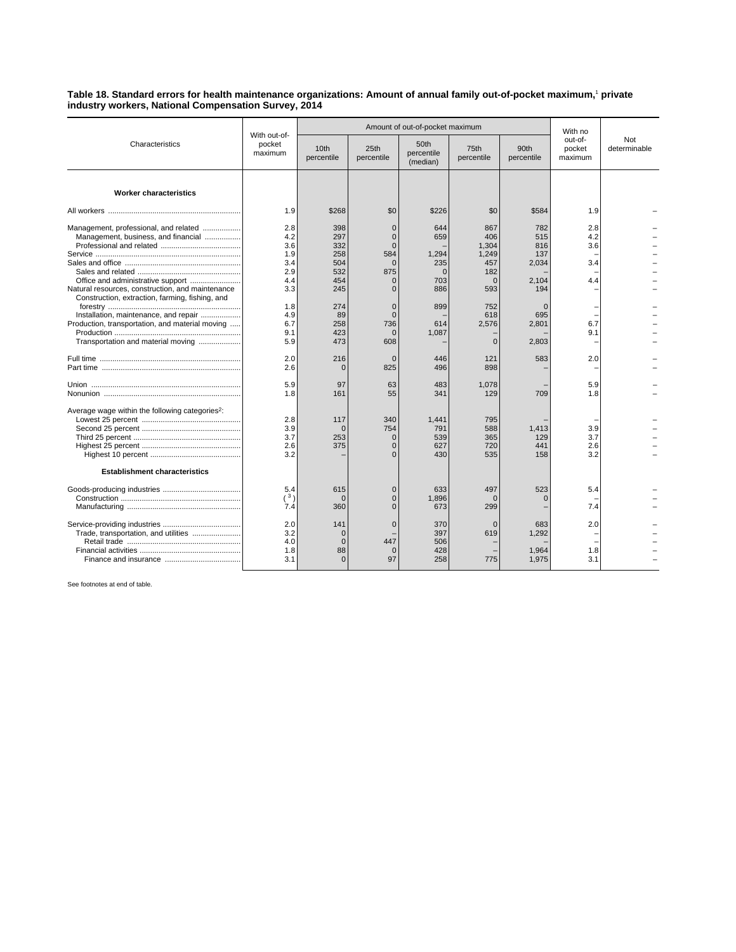**Table 18. Standard errors for health maintenance organizations: Amount of annual family out-of-pocket maximum,**<sup>1</sup>  **private industry workers, National Compensation Survey, 2014**

| Characteristics                                                                                                                                                                     | With out-of-<br>pocket<br>maximum                    |                                                       | Amount of out-of-pocket maximum                                                    | With no                                              |                                                               |                                                   |                                 |                     |
|-------------------------------------------------------------------------------------------------------------------------------------------------------------------------------------|------------------------------------------------------|-------------------------------------------------------|------------------------------------------------------------------------------------|------------------------------------------------------|---------------------------------------------------------------|---------------------------------------------------|---------------------------------|---------------------|
|                                                                                                                                                                                     |                                                      | 10th<br>percentile                                    | 25th<br>percentile                                                                 | 50th<br>percentile<br>(median)                       | 75th<br>percentile                                            | 90th<br>percentile                                | out-of-<br>pocket<br>maximum    | Not<br>determinable |
| <b>Worker characteristics</b>                                                                                                                                                       |                                                      |                                                       |                                                                                    |                                                      |                                                               |                                                   |                                 |                     |
|                                                                                                                                                                                     | 1.9                                                  | \$268                                                 | \$0                                                                                | \$226                                                | \$0                                                           | \$584                                             | 1.9                             |                     |
| Management, professional, and related<br>Management, business, and financial<br>Natural resources, construction, and maintenance<br>Construction, extraction, farming, fishing, and | 2.8<br>4.2<br>3.6<br>1.9<br>3.4<br>2.9<br>4.4<br>3.3 | 398<br>297<br>332<br>258<br>504<br>532<br>454<br>245  | $\Omega$<br>$\Omega$<br>$\Omega$<br>584<br>$\Omega$<br>875<br>$\Omega$<br>$\Omega$ | 644<br>659<br>1.294<br>235<br>$\Omega$<br>703<br>886 | 867<br>406<br>1,304<br>1.249<br>457<br>182<br>$\Omega$<br>593 | 782<br>515<br>816<br>137<br>2,034<br>2.104<br>194 | 2.8<br>4.2<br>3.6<br>3.4<br>4.4 |                     |
| Installation, maintenance, and repair<br>Production, transportation, and material moving<br>Transportation and material moving                                                      | 1.8<br>4.9<br>6.7<br>9.1<br>5.9                      | 274<br>89<br>258<br>423<br>473                        | $\Omega$<br>$\Omega$<br>736<br>$\mathbf{0}$<br>608                                 | 899<br>614<br>1,087                                  | 752<br>618<br>2,576<br>$\Omega$                               | $\Omega$<br>695<br>2.801<br>2,803                 | 6.7<br>9.1                      |                     |
|                                                                                                                                                                                     | 2.0<br>2.6                                           | 216<br>$\Omega$                                       | $\Omega$<br>825                                                                    | 446<br>496                                           | 121<br>898                                                    | 583                                               | 2.0                             |                     |
|                                                                                                                                                                                     | 5.9<br>1.8                                           | 97<br>161                                             | 63<br>55                                                                           | 483<br>341                                           | 1,078<br>129                                                  | 709                                               | 5.9<br>1.8                      |                     |
| Average wage within the following categories <sup>2</sup> :                                                                                                                         | 2.8<br>3.9<br>3.7<br>2.6<br>3.2                      | 117<br>$\Omega$<br>253<br>375                         | 340<br>754<br>$\Omega$<br>$\Omega$                                                 | 1,441<br>791<br>539<br>627<br>430                    | 795<br>588<br>365<br>720<br>535                               | 1,413<br>129<br>441<br>158                        | 3.9<br>3.7<br>2.6<br>3.2        |                     |
| <b>Establishment characteristics</b>                                                                                                                                                |                                                      |                                                       |                                                                                    |                                                      |                                                               |                                                   |                                 |                     |
|                                                                                                                                                                                     | 5.4<br>(3)<br>7.4                                    | 615<br>$\Omega$<br>360                                | $\Omega$                                                                           | 633<br>1,896<br>673                                  | 497<br>$\Omega$<br>299                                        | 523                                               | 5.4<br>7.4                      |                     |
| Trade, transportation, and utilities                                                                                                                                                | 2.0<br>3.2<br>4.0<br>1.8<br>3.1                      | 141<br>$\mathbf{0}$<br>$\mathbf{0}$<br>88<br>$\Omega$ | $\Omega$<br>447<br>$\Omega$<br>97                                                  | 370<br>397<br>506<br>428<br>258                      | $\Omega$<br>619<br>775                                        | 683<br>1.292<br>1,964<br>1,975                    | 2.0<br>1.8<br>3.1               |                     |

See footnotes at end of table.